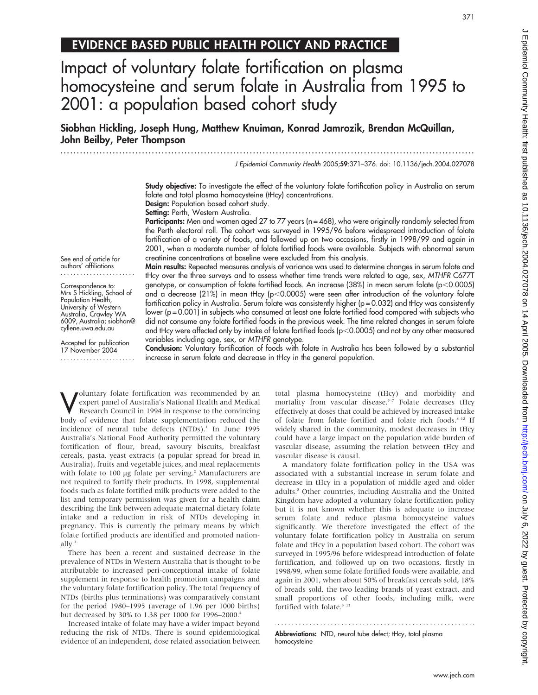# EVIDENCE BASED PUBLIC HEALTH POLICY AND PRACTICE

# Impact of voluntary folate fortification on plasma homocysteine and serum folate in Australia from 1995 to 2001: a population based cohort study

Siobhan Hickling, Joseph Hung, Matthew Knuiman, Konrad Jamrozik, Brendan McQuillan, John Beilby, Peter Thompson

...............................................................................................................................

J Epidemiol Community Health 2005;59:371–376. doi: 10.1136/jech.2004.027078

Study objective: To investigate the effect of the voluntary folate fortification policy in Australia on serum folate and total plasma homocysteine (tHcy) concentrations.

Design: Population based cohort study. Setting: Perth, Western Australia.

Participants: Men and women aged 27 to 77 years (n = 468), who were originally randomly selected from the Perth electoral roll. The cohort was surveyed in 1995/96 before widespread introduction of folate fortification of a variety of foods, and followed up on two occasions, firstly in 1998/99 and again in 2001, when a moderate number of folate fortified foods were available. Subjects with abnormal serum creatinine concentrations at baseline were excluded from this analysis.

See end of article for authors' affiliations .......................

Correspondence to: Mrs S Hickling, School of Population Health, University of Western Australia, Crawley WA 6009, Australia; siobhan@ cyllene.uwa.edu.au

Accepted for publication 17 November 2004 ....................... Main results: Repeated measures analysis of variance was used to determine changes in serum folate and tHcy over the three surveys and to assess whether time trends were related to age, sex, MTHFR C677T genotype, or consumption of folate fortified foods. An increase (38%) in mean serum folate ( $p<0.0005$ ) and a decrease (21%) in mean tHcy ( $p<0.0005$ ) were seen after introduction of the voluntary folate fortification policy in Australia. Serum folate was consistently higher (p = 0.032) and tHcy was consistently lower (p = 0.001) in subjects who consumed at least one folate fortified food compared with subjects who did not consume any folate fortified foods in the previous week. The time related changes in serum folate and tHcy were affected only by intake of folate fortified foods (p<0.0005) and not by any other measured variables including age, sex, or MTHFR genotype.

Conclusion: Voluntary fortification of foods with folate in Australia has been followed by a substantial increase in serum folate and decrease in tHcy in the general population.

Woluntary folate fortification was recommended by an expert panel of Australia's National Health and Medical Research Council in 1994 in response to the convincing expert panel of Australia's National Health and Medical body of evidence that folate supplementation reduced the incidence of neural tube defects (NTDs).<sup>1</sup> In June 1995 Australia's National Food Authority permitted the voluntary fortification of flour, bread, savoury biscuits, breakfast cereals, pasta, yeast extracts (a popular spread for bread in Australia), fruits and vegetable juices, and meal replacements with folate to 100 µg folate per serving.<sup>2</sup> Manufacturers are not required to fortify their products. In 1998, supplemental foods such as folate fortified milk products were added to the list and temporary permission was given for a health claim describing the link between adequate maternal dietary folate intake and a reduction in risk of NTDs developing in pregnancy. This is currently the primary means by which folate fortified products are identified and promoted nationally.<sup>3</sup>

There has been a recent and sustained decrease in the prevalence of NTDs in Western Australia that is thought to be attributable to increased peri-conceptional intake of folate supplement in response to health promotion campaigns and the voluntary folate fortification policy. The total frequency of NTDs (births plus terminations) was comparatively constant for the period 1980–1995 (average of 1.96 per 1000 births) but decreased by 30% to 1.38 per 1000 for 1996–2000.<sup>4</sup>

Increased intake of folate may have a wider impact beyond reducing the risk of NTDs. There is sound epidemiological evidence of an independent, dose related association between total plasma homocysteine (tHcy) and morbidity and mortality from vascular disease.<sup>5-7</sup> Folate decreases tHcy effectively at doses that could be achieved by increased intake of folate from folate fortified and folate rich foods.<sup>8-12</sup> If widely shared in the community, modest decreases in tHcy could have a large impact on the population wide burden of vascular disease, assuming the relation between tHcy and vascular disease is causal.

A mandatory folate fortification policy in the USA was associated with a substantial increase in serum folate and decrease in tHcy in a population of middle aged and older adults.8 Other countries, including Australia and the United Kingdom have adopted a voluntary folate fortification policy but it is not known whether this is adequate to increase serum folate and reduce plasma homocysteine values significantly. We therefore investigated the effect of the voluntary folate fortification policy in Australia on serum folate and tHcy in a population based cohort. The cohort was surveyed in 1995/96 before widespread introduction of folate fortification, and followed up on two occasions, firstly in 1998/99, when some folate fortified foods were available, and again in 2001, when about 50% of breakfast cereals sold, 18% of breads sold, the two leading brands of yeast extract, and small proportions of other foods, including milk, were fortified with folate.<sup>3 13</sup>

Abbreviations: NTD, neural tube defect; tHcy, total plasma homocysteine

371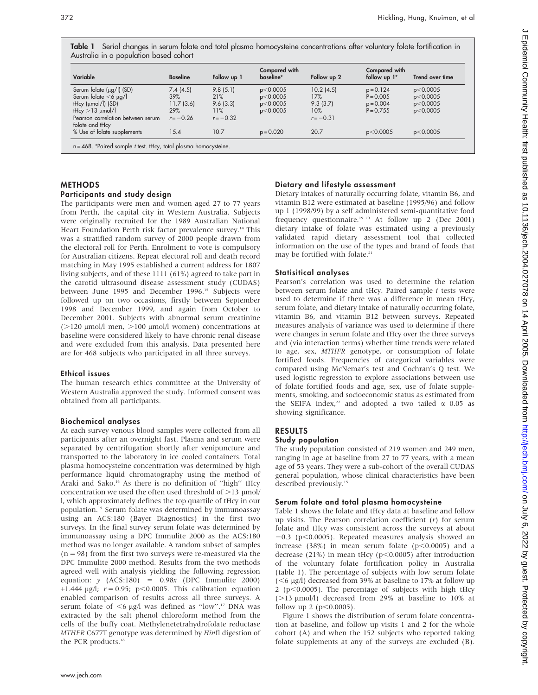Table 1 Serial changes in serum folate and total plasma homocysteine concentrations after voluntary folate fortification in Australia in a population based cohort

| Variable                                             | <b>Baseline</b> | Follow up 1 | Compared with<br>baseline* | Follow up 2 | Compared with<br>follow up 1* | Trend over time |
|------------------------------------------------------|-----------------|-------------|----------------------------|-------------|-------------------------------|-----------------|
| Serum folate $(\mu q / I)$ (SD)                      | 7.4(4.5)        | 9.8(5.1)    | p<0.0005                   | 10.2(4.5)   | $p = 0.124$                   | p<0.0005        |
| Serum folate $<$ 6 $\mu$ g/l                         | 39%             | 21%         | p<0.0005                   | 17%         | $P = 0.005$                   | p<0.0005        |
| $Hcy$ ( $\mu$ mol/l) (SD)                            | 11.7(3.6)       | 9.6(3.3)    | p<0.0005                   | 9.3(3.7)    | $p = 0.004$                   | p<0.0005        |
| tHcy $>13 \mu$ mol/l                                 | 29%             | 11%         | p<0.0005                   | 10%         | $P = 0.755$                   | p<0.0005        |
| Pearson correlation between serum<br>folate and tHcy | $r = -0.26$     | $r = -0.32$ |                            | $r = -0.31$ |                               |                 |
| % Use of folate supplements                          | 15.4            | 10.7        | $p = 0.020$                | 20.7        | p<0.0005                      | p<0.0005        |

### METHODS

#### Participants and study design

The participants were men and women aged 27 to 77 years from Perth, the capital city in Western Australia. Subjects were originally recruited for the 1989 Australian National Heart Foundation Perth risk factor prevalence survey.<sup>14</sup> This was a stratified random survey of 2000 people drawn from the electoral roll for Perth. Enrolment to vote is compulsory for Australian citizens. Repeat electoral roll and death record matching in May 1995 established a current address for 1807 living subjects, and of these 1111 (61%) agreed to take part in the carotid ultrasound disease assessment study (CUDAS) between June 1995 and December 1996.<sup>15</sup> Subjects were followed up on two occasions, firstly between September 1998 and December 1999, and again from October to December 2001. Subjects with abnormal serum creatinine ( $>120$  µmol/l men,  $>100$  µmol/l women) concentrations at baseline were considered likely to have chronic renal disease and were excluded from this analysis. Data presented here are for 468 subjects who participated in all three surveys.

#### Ethical issues

The human research ethics committee at the University of Western Australia approved the study. Informed consent was obtained from all participants.

#### Biochemical analyses

At each survey venous blood samples were collected from all participants after an overnight fast. Plasma and serum were separated by centrifugation shortly after venipuncture and transported to the laboratory in ice cooled containers. Total plasma homocysteine concentration was determined by high performance liquid chromatography using the method of Araki and Sako.16 As there is no definition of ''high'' tHcy concentration we used the often used threshold of  $>$ 13  $\mu$ mol/ l, which approximately defines the top quartile of tHcy in our population.15 Serum folate was determined by immunoassay using an ACS:180 (Bayer Diagnostics) in the first two surveys. In the final survey serum folate was determined by immunoassay using a DPC Immulite 2000 as the ACS:180 method was no longer available. A random subset of samples  $(n = 98)$  from the first two surveys were re-measured via the DPC Immulite 2000 method. Results from the two methods agreed well with analysis yielding the following regression equation:  $y \left( ACS:180 \right) = 0.98x \left( DPC \right)$  Immulite 2000) +1.444  $\mu$ g/l;  $r = 0.95$ ; p<0.0005. This calibration equation enabled comparison of results across all three surveys. A serum folate of  $<6$  µg/l was defined as "low".<sup>17</sup> DNA was extracted by the salt phenol chloroform method from the cells of the buffy coat. Methylenetetrahydrofolate reductase MTHFR C677T genotype was determined by Hinfl digestion of the PCR products.<sup>18</sup>

# Dietary and lifestyle assessment

Dietary intakes of naturally occurring folate, vitamin B6, and vitamin B12 were estimated at baseline (1995/96) and follow up 1 (1998/99) by a self administered semi-quantitative food frequency questionnaire.<sup>19 20</sup> At follow up 2 (Dec 2001) dietary intake of folate was estimated using a previously validated rapid dietary assessment tool that collected information on the use of the types and brand of foods that may be fortified with folate.<sup>21</sup>

# Statisitical analyses

Pearson's correlation was used to determine the relation between serum folate and tHcy. Paired sample t tests were used to determine if there was a difference in mean tHcy, serum folate, and dietary intake of naturally occurring folate, vitamin B6, and vitamin B12 between surveys. Repeated measures analysis of variance was used to determine if there were changes in serum folate and tHcy over the three surveys and (via interaction terms) whether time trends were related to age, sex, MTHFR genotype, or consumption of folate fortified foods. Frequencies of categorical variables were compared using McNemar's test and Cochran's Q test. We used logistic regression to explore associations between use of folate fortified foods and age, sex, use of folate supplements, smoking, and socioeconomic status as estimated from the SEIFA index,<sup>22</sup> and adopted a two tailed  $\alpha$  0.05 as showing significance.

# RESULTS

# Study population

The study population consisted of 219 women and 249 men, ranging in age at baseline from 27 to 77 years, with a mean age of 53 years. They were a sub-cohort of the overall CUDAS general population, whose clinical characteristics have been described previously.<sup>15</sup>

# Serum folate and total plasma homocysteine

Table 1 shows the folate and tHcy data at baseline and follow up visits. The Pearson correlation coefficient  $(r)$  for serum folate and tHcy was consistent across the surveys at about  $-0.3$  (p $< 0.0005$ ). Repeated measures analysis showed an increase  $(38%)$  in mean serum folate  $(p<0.0005)$  and a decrease (21%) in mean tHcy ( $p$ <0.0005) after introduction of the voluntary folate fortification policy in Australia (table 1). The percentage of subjects with low serum folate  $(<$ 6 µg/l) decreased from 39% at baseline to 17% at follow up 2 ( $p$ <0.0005). The percentage of subjects with high tHcy ( $>$ 13  $\mu$ mol/l) decreased from 29% at baseline to 10% at follow up 2 ( $p < 0.0005$ ).

Figure 1 shows the distribution of serum folate concentration at baseline, and follow up visits 1 and 2 for the whole cohort (A) and when the 152 subjects who reported taking folate supplements at any of the surveys are excluded (B).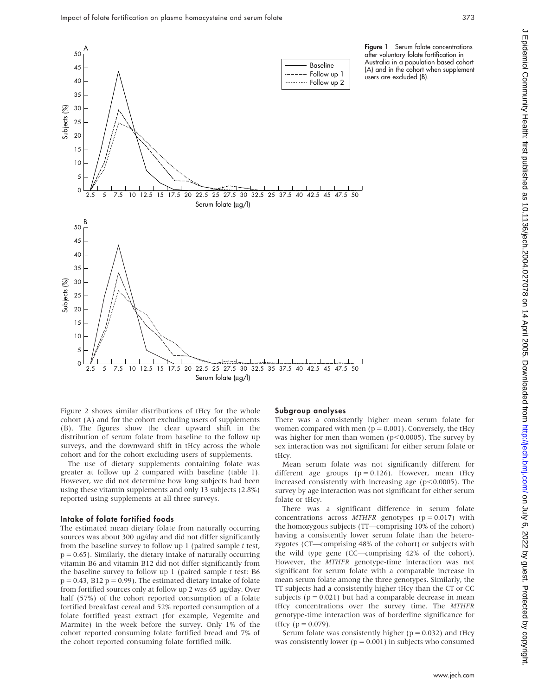

Figure 2 shows similar distributions of tHcy for the whole cohort (A) and for the cohort excluding users of supplements (B). The figures show the clear upward shift in the distribution of serum folate from baseline to the follow up surveys, and the downward shift in tHcy across the whole cohort and for the cohort excluding users of supplements.

The use of dietary supplements containing folate was greater at follow up 2 compared with baseline (table 1). However, we did not determine how long subjects had been using these vitamin supplements and only 13 subjects (2.8%) reported using supplements at all three surveys.

#### Intake of folate fortified foods

The estimated mean dietary folate from naturally occurring sources was about 300 µg/day and did not differ significantly from the baseline survey to follow up 1 (paired sample t test,  $p = 0.65$ ). Similarly, the dietary intake of naturally occurring vitamin B6 and vitamin B12 did not differ significantly from the baseline survey to follow up 1 (paired sample  $t$  test: B6  $p = 0.43$ , B12  $p = 0.99$ ). The estimated dietary intake of folate from fortified sources only at follow up 2 was 65 µg/day. Over half (57%) of the cohort reported consumption of a folate fortified breakfast cereal and 52% reported consumption of a folate fortified yeast extract (for example, Vegemite and Marmite) in the week before the survey. Only 1% of the cohort reported consuming folate fortified bread and 7% of the cohort reported consuming folate fortified milk.

#### Subgroup analyses

There was a consistently higher mean serum folate for women compared with men ( $p = 0.001$ ). Conversely, the tHcy was higher for men than women ( $p<0.0005$ ). The survey by sex interaction was not significant for either serum folate or tHcy.

Mean serum folate was not significantly different for different age groups  $(p = 0.126)$ . However, mean tHcy increased consistently with increasing age ( $p<0.0005$ ). The survey by age interaction was not significant for either serum folate or tHcy.

There was a significant difference in serum folate concentrations across  $MTHFR$  genotypes ( $p = 0.017$ ) with the homozygous subjects (TT—comprising 10% of the cohort) having a consistently lower serum folate than the heterozygotes (CT—comprising 48% of the cohort) or subjects with the wild type gene (CC—comprising 42% of the cohort). However, the MTHFR genotype-time interaction was not significant for serum folate with a comparable increase in mean serum folate among the three genotypes. Similarly, the TT subjects had a consistently higher tHcy than the CT or CC subjects ( $p = 0.021$ ) but had a comparable decrease in mean tHcy concentrations over the survey time. The MTHFR genotype-time interaction was of borderline significance for tHcy ( $p = 0.079$ ).

Serum folate was consistently higher ( $p = 0.032$ ) and tHcy was consistently lower ( $p = 0.001$ ) in subjects who consumed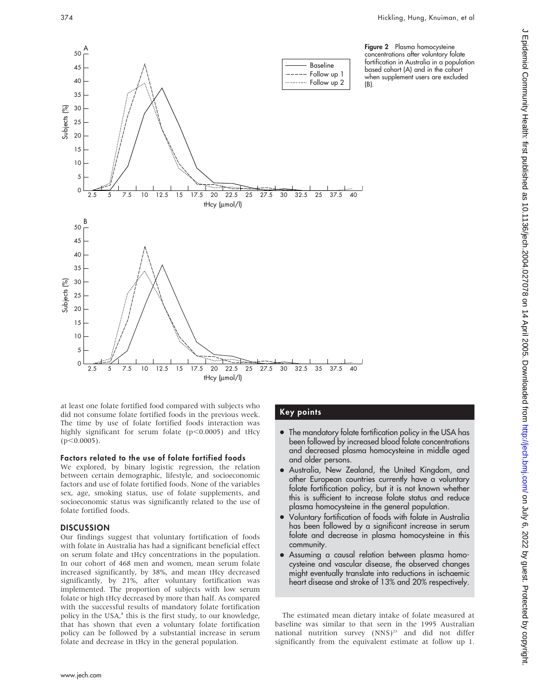

at least one folate fortified food compared with subjects who did not consume folate fortified foods in the previous week. The time by use of folate fortified foods interaction was highly significant for serum folate ( $p$ <0.0005) and tHcy  $(p<0.0005)$ .

# Factors related to the use of folate fortified foods

We explored, by binary logistic regression, the relation between certain demographic, lifestyle, and socioeconomic factors and use of folate fortified foods. None of the variables sex, age, smoking status, use of folate supplements, and socioeconomic status was significantly related to the use of folate fortified foods.

# **DISCUSSION**

Our findings suggest that voluntary fortification of foods with folate in Australia has had a significant beneficial effect on serum folate and tHcy concentrations in the population. In our cohort of 468 men and women, mean serum folate increased significantly, by 38%, and mean tHcy decreased significantly, by 21%, after voluntary fortification was implemented. The proportion of subjects with low serum folate or high tHcy decreased by more than half. As compared with the successful results of mandatory folate fortification policy in the USA,<sup>8</sup> this is the first study, to our knowledge, that has shown that even a voluntary folate fortification policy can be followed by a substantial increase in serum folate and decrease in tHcy in the general population.

# Key points

- The mandatory folate fortification policy in the USA has been followed by increased blood folate concentrations and decreased plasma homocysteine in middle aged and older persons.
- Australia, New Zealand, the United Kingdom, and other European countries currently have a voluntary folate fortification policy, but it is not known whether this is sufficient to increase folate status and reduce plasma homocysteine in the general population.
- N Voluntary fortification of foods with folate in Australia has been followed by a significant increase in serum folate and decrease in plasma homocysteine in this community.
- Assuming a causal relation between plasma homocysteine and vascular disease, the observed changes might eventually translate into reductions in ischaemic heart disease and stroke of 13% and 20% respectively.

The estimated mean dietary intake of folate measured at baseline was similar to that seen in the 1995 Australian national nutrition survey (NNS)<sup>23</sup> and did not differ significantly from the equivalent estimate at follow up 1.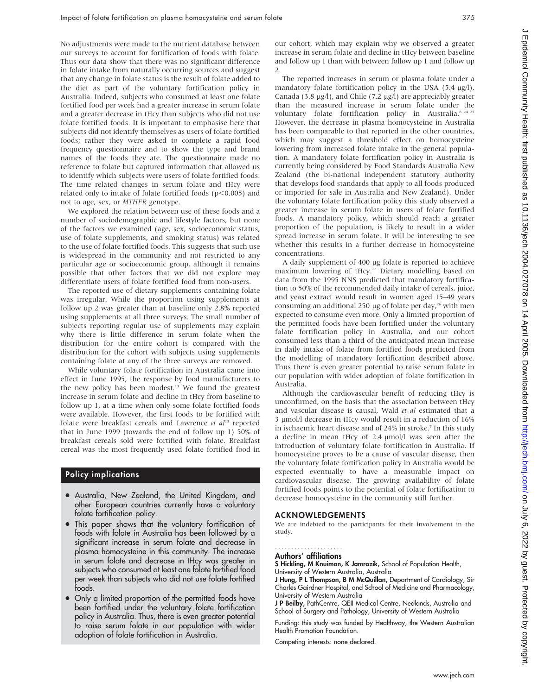No adjustments were made to the nutrient database between our surveys to account for fortification of foods with folate. Thus our data show that there was no significant difference in folate intake from naturally occurring sources and suggest that any change in folate status is the result of folate added to the diet as part of the voluntary fortification policy in Australia. Indeed, subjects who consumed at least one folate fortified food per week had a greater increase in serum folate and a greater decrease in tHcy than subjects who did not use folate fortified foods. It is important to emphasise here that subjects did not identify themselves as users of folate fortified foods; rather they were asked to complete a rapid food frequency questionnaire and to show the type and brand names of the foods they ate. The questionnaire made no reference to folate but captured information that allowed us to identify which subjects were users of folate fortified foods. The time related changes in serum folate and tHcy were related only to intake of folate fortified foods ( $p$ <0.005) and not to age, sex, or MTHFR genotype.

We explored the relation between use of these foods and a number of sociodemographic and lifestyle factors, but none of the factors we examined (age, sex, socioeconomic status, use of folate supplements, and smoking status) was related to the use of folate fortified foods. This suggests that such use is widespread in the community and not restricted to any particular age or socioeconomic group, although it remains possible that other factors that we did not explore may differentiate users of folate fortified food from non-users.

The reported use of dietary supplements containing folate was irregular. While the proportion using supplements at follow up 2 was greater than at baseline only 2.8% reported using supplements at all three surveys. The small number of subjects reporting regular use of supplements may explain why there is little difference in serum folate when the distribution for the entire cohort is compared with the distribution for the cohort with subjects using supplements containing folate at any of the three surveys are removed.

While voluntary folate fortification in Australia came into effect in June 1995, the response by food manufacturers to the new policy has been modest.<sup>13</sup> We found the greatest increase in serum folate and decline in tHcy from baseline to follow up 1, at a time when only some folate fortified foods were available. However, the first foods to be fortified with folate were breakfast cereals and Lawrence et  $al<sup>13</sup>$  reported that in June 1999 (towards the end of follow up 1) 50% of breakfast cereals sold were fortified with folate. Breakfast cereal was the most frequently used folate fortified food in

# Policy implications

- Australia, New Zealand, the United Kingdom, and other European countries currently have a voluntary folate fortification policy.
- This paper shows that the voluntary fortification of foods with folate in Australia has been followed by a significant increase in serum folate and decrease in plasma homocysteine in this community. The increase in serum folate and decrease in tHcy was greater in subjects who consumed at least one folate fortified food per week than subjects who did not use folate fortified foods.
- Only a limited proportion of the permitted foods have been fortified under the voluntary folate fortification policy in Australia. Thus, there is even greater potential to raise serum folate in our population with wider adoption of folate fortification in Australia.

our cohort, which may explain why we observed a greater increase in serum folate and decline in tHcy between baseline and follow up 1 than with between follow up 1 and follow up 2.

The reported increases in serum or plasma folate under a mandatory folate fortification policy in the USA  $(5.4 \text{ µg/l})$ , Canada (3.8  $\mu$ g/l), and Chile (7.2  $\mu$ g/l) are appreciably greater than the measured increase in serum folate under the voluntary folate fortification policy in Australia.<sup>8 24 25</sup> However, the decrease in plasma homocysteine in Australia has been comparable to that reported in the other countries, which may suggest a threshold effect on homocysteine lowering from increased folate intake in the general population. A mandatory folate fortification policy in Australia is currently being considered by Food Standards Australia New Zealand (the bi-national independent statutory authority that develops food standards that apply to all foods produced or imported for sale in Australia and New Zealand). Under the voluntary folate fortification policy this study observed a greater increase in serum folate in users of folate fortified foods. A mandatory policy, which should reach a greater proportion of the population, is likely to result in a wider spread increase in serum folate. It will be interesting to see whether this results in a further decrease in homocysteine concentrations.

A daily supplement of 400 µg folate is reported to achieve maximum lowering of tHcy.12 Dietary modelling based on data from the 1995 NNS predicted that mandatory fortification to 50% of the recommended daily intake of cereals, juice, and yeast extract would result in women aged 15–49 years consuming an additional 250  $\mu$ g of folate per day,<sup>26</sup> with men expected to consume even more. Only a limited proportion of the permitted foods have been fortified under the voluntary folate fortification policy in Australia, and our cohort consumed less than a third of the anticipated mean increase in daily intake of folate from fortified foods predicted from the modelling of mandatory fortification described above. Thus there is even greater potential to raise serum folate in our population with wider adoption of folate fortification in Australia.

Although the cardiovascular benefit of reducing tHcy is unconfirmed, on the basis that the association between tHcy and vascular disease is causal, Wald et al estimated that a  $3 \mu$ mol/l decrease in tHcy would result in a reduction of 16% in ischaemic heart disease and of 24% in stroke.<sup>7</sup> In this study a decline in mean tHcy of 2.4  $\mu$ mol/l was seen after the introduction of voluntary folate fortification in Australia. If homocysteine proves to be a cause of vascular disease, then the voluntary folate fortification policy in Australia would be expected eventually to have a measurable impact on cardiovascular disease. The growing availability of folate fortified foods points to the potential of folate fortification to decrease homocysteine in the community still further.

#### ACKNOWLEDGEMENTS

We are indebted to the participants for their involvement in the study.

#### Authors' affiliations .....................

S Hickling, M Knuiman, K Jamrozik, School of Population Health, University of Western Australia, Australia

J Hung, P L Thompson, B M McQuillan, Department of Cardiology, Sir Charles Gairdner Hospital, and School of Medicine and Pharmacology, University of Western Australia

J P Beilby, PathCentre, QEII Medical Centre, Nedlands, Australia and School of Surgery and Pathology, University of Western Australia

Funding: this study was funded by Healthway, the Western Australian Health Promotion Foundation.

Competing interests: none declared.